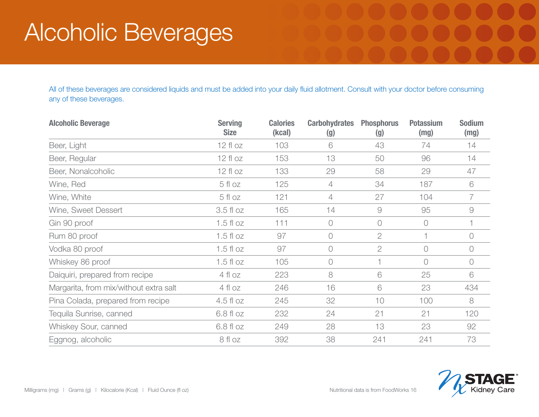## Alcoholic Beverages

All of these beverages are considered liquids and must be added into your daily fluid allotment. Consult with your doctor before consuming any of these beverages.

| <b>Alcoholic Beverage</b>              | <b>Serving</b><br><b>Size</b> | <b>Calories</b><br>(kcal) | <b>Carbohydrates</b><br>(g) | <b>Phosphorus</b><br>(g) | <b>Potassium</b><br>(mg) | <b>Sodium</b><br>(mg) |
|----------------------------------------|-------------------------------|---------------------------|-----------------------------|--------------------------|--------------------------|-----------------------|
| Beer, Light                            | $12f$ oz                      | 103                       | 6                           | 43                       | 74                       | 14                    |
| Beer, Regular                          | $12f$ loz                     | 153                       | 13                          | 50                       | 96                       | 14                    |
| Beer, Nonalcoholic                     | $12f$ loz                     | 133                       | 29                          | 58                       | 29                       | 47                    |
| Wine, Red                              | 5 fl oz                       | 125                       | $\overline{4}$              | 34                       | 187                      | 6                     |
| Wine, White                            | 5 fl oz                       | 121                       | $\overline{4}$              | 27                       | 104                      | $\overline{7}$        |
| Wine, Sweet Dessert                    | 3.5 fl oz                     | 165                       | 14                          | $\Theta$                 | 95                       | $\Theta$              |
| Gin 90 proof                           | $1.5f$ loz                    | 111                       | $\circ$                     | $\bigcirc$               | $\bigcirc$               |                       |
| Rum 80 proof                           | $1.5f$ loz                    | 97                        | $\bigcirc$                  | $\overline{2}$           |                          | 0                     |
| Vodka 80 proof                         | $1.5f$ loz                    | 97                        | $\bigcirc$                  | $\overline{2}$           | $\bigcirc$               | 0                     |
| Whiskey 86 proof                       | $1.5f$ loz                    | 105                       | $\bigcirc$                  |                          | $\bigcirc$               | 0                     |
| Daiquiri, prepared from recipe         | 4 fl oz                       | 223                       | 8                           | 6                        | 25                       | 6                     |
| Margarita, from mix/without extra salt | 4 fl oz                       | 246                       | 16                          | 6                        | 23                       | 434                   |
| Pina Colada, prepared from recipe      | $4.5f$ loz                    | 245                       | 32                          | 10                       | 100                      | 8                     |
| Tequila Sunrise, canned                | 6.8 fl oz                     | 232                       | 24                          | 21                       | 21                       | 120                   |
| Whiskey Sour, canned                   | 6.8 fl oz                     | 249                       | 28                          | 13                       | 23                       | 92                    |
| Eggnog, alcoholic                      | 8 fl oz                       | 392                       | 38                          | 241                      | 241                      | 73                    |